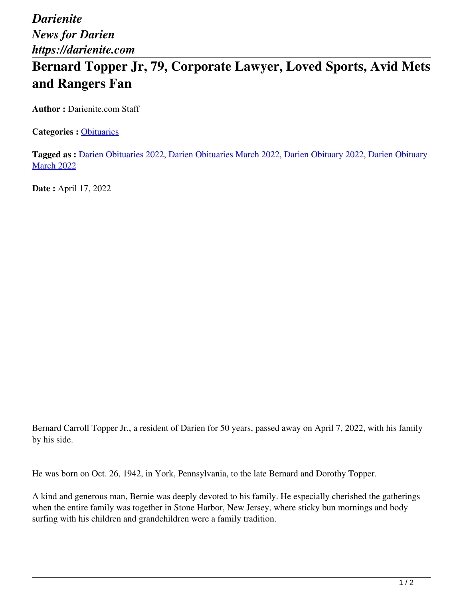*Darienite News for Darien https://darienite.com*

## **Bernard Topper Jr, 79, Corporate Lawyer, Loved Sports, Avid Mets and Rangers Fan**

**Author :** Darienite.com Staff

**Categories :** [Obituaries](https://darienite.com/category/obituaries)

**Tagged as :** Darien Obituaries 2022, Darien Obituaries March 2022, Darien Obituary 2022, Darien Obituary **March 2022** 

**Date :** April 17, 2022

Bernard Carroll Topper Jr., a resident of Darien for 50 years, passed away on April 7, 2022, with his family by his side.

He was born on Oct. 26, 1942, in York, Pennsylvania, to the late Bernard and Dorothy Topper.

A kind and generous man, Bernie was deeply devoted to his family. He especially cherished the gatherings when the entire family was together in Stone Harbor, New Jersey, where sticky bun mornings and body surfing with his children and grandchildren were a family tradition.